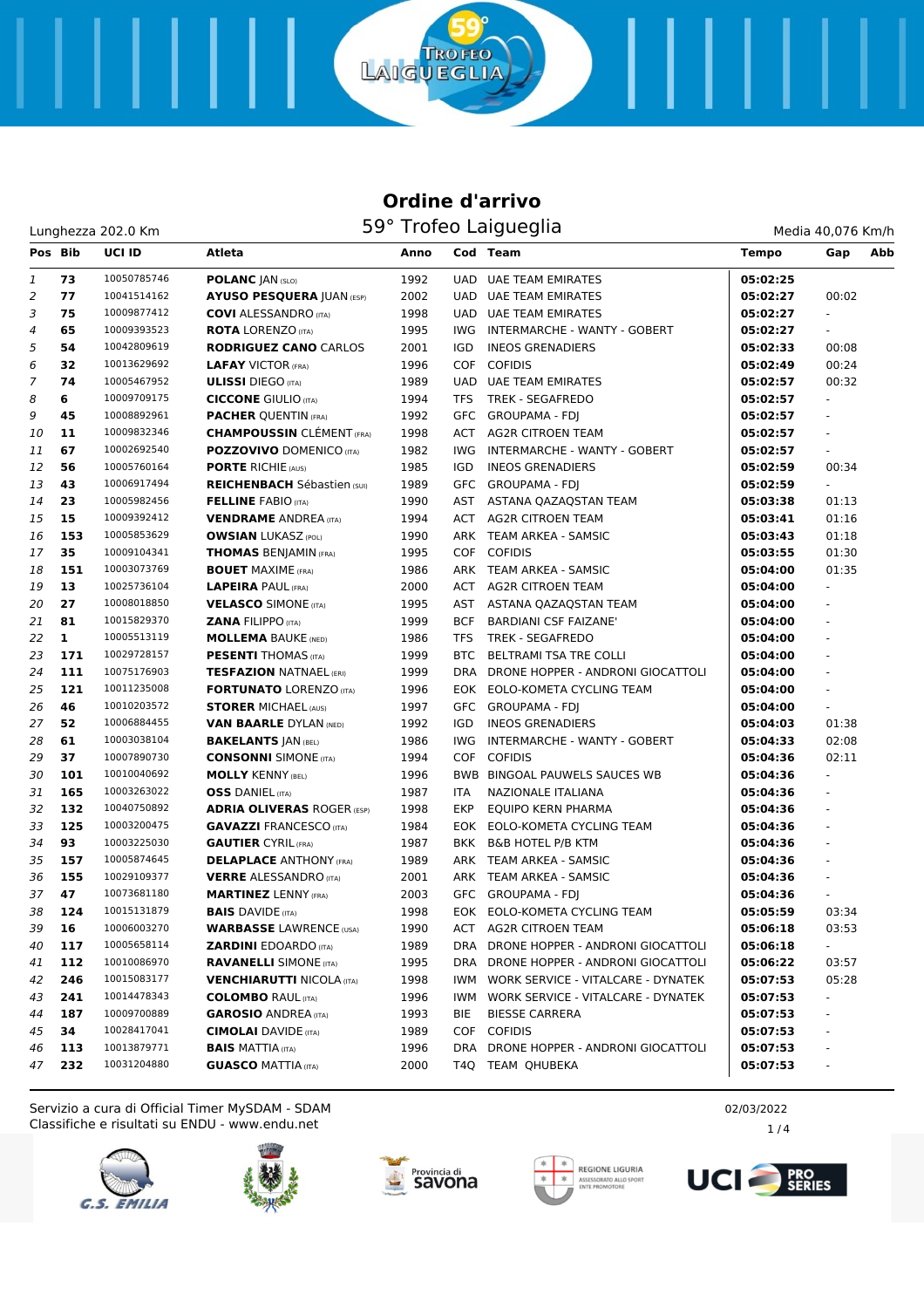ō

**TROFEO** 

LAIGUEGLIA

| Media 40.076 Km/h |  |  |
|-------------------|--|--|

| Pos Bib |              | UCI ID      | <b>Atleta</b>                      | Anno |            | Cod Team                              | <b>Tempo</b> | Gap                      | Abb |
|---------|--------------|-------------|------------------------------------|------|------------|---------------------------------------|--------------|--------------------------|-----|
| 1       | 73           | 10050785746 | <b>POLANC JAN (SLO)</b>            | 1992 |            | UAD UAE TEAM EMIRATES                 | 05:02:25     |                          |     |
| 2       | 77           | 10041514162 | <b>AYUSO PESQUERA JUAN (ESP)</b>   | 2002 |            | <b>UAD UAE TEAM EMIRATES</b>          | 05:02:27     | 00:02                    |     |
| 3       | 75           | 10009877412 | <b>COVI</b> ALESSANDRO (ITA)       | 1998 |            | UAD UAE TEAM EMIRATES                 | 05:02:27     |                          |     |
| 4       | 65           | 10009393523 | <b>ROTA LORENZO (ITA)</b>          | 1995 | IWG        | INTERMARCHE - WANTY - GOBERT          | 05:02:27     |                          |     |
| 5       | 54           | 10042809619 | <b>RODRIGUEZ CANO CARLOS</b>       | 2001 | IGD        | <b>INEOS GRENADIERS</b>               | 05:02:33     | 00:08                    |     |
| 6       | 32           | 10013629692 | <b>LAFAY VICTOR (FRA)</b>          | 1996 |            | COF COFIDIS                           | 05:02:49     | 00:24                    |     |
| 7       | 74           | 10005467952 | <b>ULISSI</b> DIEGO (ITA)          | 1989 |            | UAD UAE TEAM EMIRATES                 | 05:02:57     | 00:32                    |     |
| 8       | 6            | 10009709175 | <b>CICCONE GIULIO (ITA)</b>        | 1994 | TFS        | TREK - SEGAFREDO                      | 05:02:57     | $\omega$                 |     |
| 9       | 45           | 10008892961 | <b>PACHER OUENTIN (FRA)</b>        | 1992 |            | GFC GROUPAMA - FDJ                    | 05:02:57     | $\mathbf{r}$             |     |
| 10      | 11           | 10009832346 | <b>CHAMPOUSSIN CLÉMENT (FRA)</b>   | 1998 |            | ACT AG2R CITROEN TEAM                 | 05:02:57     | ÷.                       |     |
| 11      | 67           | 10002692540 | <b>POZZOVIVO DOMENICO (ITA)</b>    | 1982 | IWG        | INTERMARCHE - WANTY - GOBERT          | 05:02:57     | $\overline{\phantom{a}}$ |     |
| 12      | 56           | 10005760164 | <b>PORTE RICHIE (AUS)</b>          | 1985 | IGD        | <b>INEOS GRENADIERS</b>               | 05:02:59     | 00:34                    |     |
| 13      | 43           | 10006917494 | <b>REICHENBACH</b> Sébastien (SUI) | 1989 |            | GFC GROUPAMA - FDJ                    | 05:02:59     |                          |     |
| 14      | 23           | 10005982456 | <b>FELLINE FABIO (ITA)</b>         | 1990 |            | AST ASTANA QAZAQSTAN TEAM             | 05:03:38     | 01:13                    |     |
| 15      | 15           | 10009392412 | <b>VENDRAME</b> ANDREA (ITA)       | 1994 |            | ACT AG2R CITROEN TEAM                 | 05:03:41     | 01:16                    |     |
| 16      | 153          | 10005853629 | <b>OWSIAN LUKASZ (POL)</b>         | 1990 |            | ARK TEAM ARKEA - SAMSIC               | 05:03:43     | 01:18                    |     |
| 17      | 35           | 10009104341 | <b>THOMAS BENJAMIN (FRA)</b>       | 1995 |            | COF COFIDIS                           | 05:03:55     | 01:30                    |     |
| 18      | 151          | 10003073769 | <b>BOUET MAXIME (FRA)</b>          | 1986 |            | ARK TEAM ARKEA - SAMSIC               | 05:04:00     | 01:35                    |     |
| 19      | 13           | 10025736104 | <b>LAPEIRA PAUL (FRA)</b>          | 2000 |            | ACT AG2R CITROEN TEAM                 | 05:04:00     | ÷.                       |     |
| 20      | 27           | 10008018850 | <b>VELASCO SIMONE (ITA)</b>        | 1995 |            | AST ASTANA QAZAQSTAN TEAM             | 05:04:00     | ÷.                       |     |
| 21      | 81           | 10015829370 | <b>ZANA FILIPPO (ITA)</b>          | 1999 | <b>BCF</b> | <b>BARDIANI CSF FAIZANE'</b>          | 05:04:00     | $\omega$                 |     |
| 22      | $\mathbf{1}$ | 10005513119 | <b>MOLLEMA BAUKE (NED)</b>         | 1986 | <b>TFS</b> | <b>TREK - SEGAFREDO</b>               | 05:04:00     | $\mathbf{r}$             |     |
| 23      | 171          | 10029728157 | <b>PESENTI THOMAS</b> (ITA)        | 1999 | <b>BTC</b> | <b>BELTRAMI TSA TRE COLLI</b>         | 05:04:00     | $\omega$                 |     |
| 24      | 111          | 10075176903 | <b>TESFAZION NATNAEL (ERI)</b>     | 1999 |            | DRA DRONE HOPPER - ANDRONI GIOCATTOLI | 05:04:00     | ÷,                       |     |
| 25      | 121          | 10011235008 | <b>FORTUNATO LORENZO (ITA)</b>     | 1996 |            | EOK EOLO-KOMETA CYCLING TEAM          | 05:04:00     |                          |     |
| 26      | 46           | 10010203572 | <b>STORER MICHAEL (AUS)</b>        | 1997 |            | GFC GROUPAMA - FDJ                    | 05:04:00     | $\omega$                 |     |
| 27      | 52           | 10006884455 | <b>VAN BAARLE DYLAN (NED)</b>      | 1992 | IGD        | <b>INEOS GRENADIERS</b>               | 05:04:03     | 01:38                    |     |
| 28      | 61           | 10003038104 | <b>BAKELANTS JAN (BEL)</b>         | 1986 | IWG        | INTERMARCHE - WANTY - GOBERT          | 05:04:33     | 02:08                    |     |
| 29      | 37           | 10007890730 | <b>CONSONNI SIMONE (ITA)</b>       | 1994 |            | COF COFIDIS                           | 05:04:36     | 02:11                    |     |
| 30      | 101          | 10010040692 | <b>MOLLY KENNY (BEL)</b>           | 1996 |            | BWB BINGOAL PAUWELS SAUCES WB         | 05:04:36     | $\omega$                 |     |
| 31      | 165          | 10003263022 | <b>OSS</b> DANIEL (ITA)            | 1987 | ITA        | NAZIONALE ITALIANA                    | 05:04:36     |                          |     |
| 32      | 132          | 10040750892 | <b>ADRIA OLIVERAS ROGER (ESP)</b>  | 1998 | <b>EKP</b> | EQUIPO KERN PHARMA                    | 05:04:36     | $\omega$                 |     |
| 33      | 125          | 10003200475 | <b>GAVAZZI FRANCESCO (ITA)</b>     | 1984 |            | EOK EOLO-KOMETA CYCLING TEAM          | 05:04:36     | $\overline{\phantom{a}}$ |     |
| 34      | 93           | 10003225030 | <b>GAUTIER CYRIL (FRA)</b>         | 1987 | BKK        | <b>B&amp;B HOTEL P/B KTM</b>          | 05:04:36     | ÷.                       |     |
| 35      | 157          | 10005874645 | <b>DELAPLACE ANTHONY (FRA)</b>     | 1989 |            | ARK TEAM ARKEA - SAMSIC               | 05:04:36     | $\blacksquare$           |     |
| 36      | 155          | 10029109377 | <b>VERRE ALESSANDRO (ITA)</b>      | 2001 |            | ARK TEAM ARKEA - SAMSIC               | 05:04:36     | $\blacksquare$           |     |
| 37      | 47           | 10073681180 | <b>MARTINEZ LENNY (FRA)</b>        | 2003 |            | GFC GROUPAMA - FDI                    | 05:04:36     |                          |     |
| 38      | 124          | 10015131879 | <b>BAIS DAVIDE (ITA)</b>           | 1998 |            | EOK EOLO-KOMETA CYCLING TEAM          | 05:05:59     | 03:34                    |     |
| 39      | 16           | 10006003270 | <b>WARBASSE LAWRENCE (USA)</b>     | 1990 |            | ACT AG2R CITROEN TEAM                 | 05:06:18     | 03:53                    |     |
| 40      | 117          | 10005658114 | <b>ZARDINI EDOARDO (ITA)</b>       | 1989 |            | DRA DRONE HOPPER - ANDRONI GIOCATTOLI | 05:06:18     | $\sim$                   |     |
| 41      | 112          | 10010086970 | <b>RAVANELLI SIMONE (ITA)</b>      | 1995 |            | DRA DRONE HOPPER - ANDRONI GIOCATTOLI | 05:06:22     | 03:57                    |     |
| 42      | 246          | 10015083177 | <b>VENCHIARUTTI NICOLA (ITA)</b>   | 1998 | IWM        | WORK SERVICE - VITALCARE - DYNATEK    | 05:07:53     | 05:28                    |     |
| 43      | 241          | 10014478343 | <b>COLOMBO RAUL (ITA)</b>          | 1996 | IWM        | WORK SERVICE - VITALCARE - DYNATEK    | 05:07:53     |                          |     |
| 44      | 187          | 10009700889 | <b>GAROSIO ANDREA (ITA)</b>        | 1993 | BIE        | <b>BIESSE CARRERA</b>                 | 05:07:53     |                          |     |
| 45      | 34           | 10028417041 | <b>CIMOLAI</b> DAVIDE (ITA)        | 1989 |            | COF COFIDIS                           | 05:07:53     | $\sim$                   |     |
| 46      | 113          | 10013879771 | <b>BAIS MATTIA (ITA)</b>           | 1996 |            | DRA DRONE HOPPER - ANDRONI GIOCATTOLI | 05:07:53     |                          |     |
| 47      | 232          | 10031204880 | <b>GUASCO MATTIA (ITA)</b>         | 2000 |            | T4Q TEAM QHUBEKA                      | 05:07:53     |                          |     |

Classifiche e risultati su ENDU - www.endu.net Servizio a cura di Official Timer MySDAM - SDAM 02/03/2022 2











1 / 4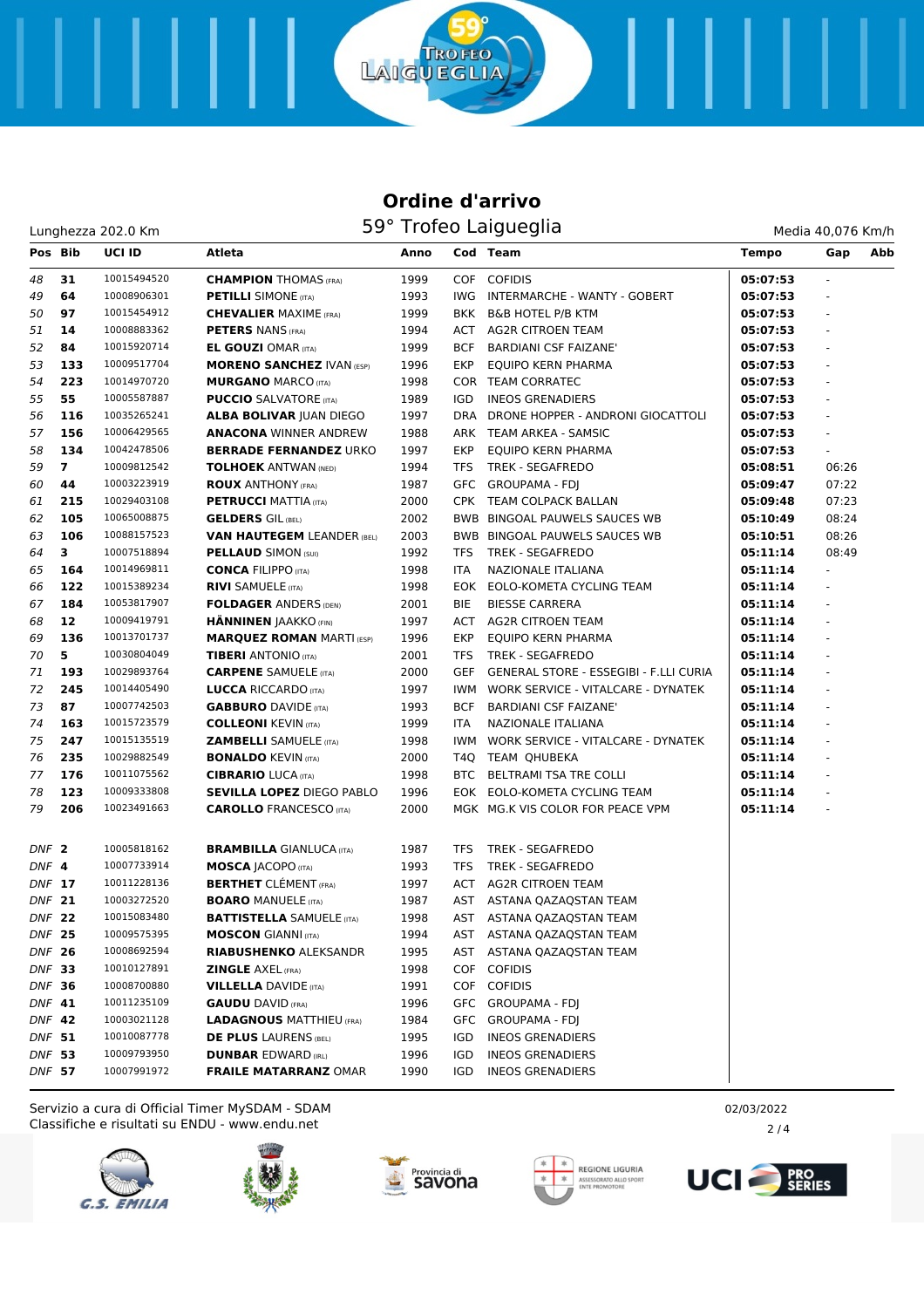**TROFEO** 

LAIGUEGLIA

| Pos Bib          |                 | <b>UCI ID</b> | Atleta                            | Anno |            | Cod Team                               | <b>Tempo</b> | Gap                      | Abb |
|------------------|-----------------|---------------|-----------------------------------|------|------------|----------------------------------------|--------------|--------------------------|-----|
| 48               | 31              | 10015494520   | <b>CHAMPION THOMAS (FRA)</b>      | 1999 |            | COF COFIDIS                            | 05:07:53     |                          |     |
| 49               | 64              | 10008906301   | <b>PETILLI SIMONE</b> (ITA)       | 1993 |            | IWG INTERMARCHE - WANTY - GOBERT       | 05:07:53     |                          |     |
| 50               | 97              | 10015454912   | <b>CHEVALIER MAXIME (FRA)</b>     | 1999 |            | BKK B&B HOTEL P/B KTM                  | 05:07:53     | $\omega$                 |     |
| 51               | 14              | 10008883362   | <b>PETERS NANS (FRA)</b>          | 1994 |            | ACT AG2R CITROEN TEAM                  | 05:07:53     | $\overline{\phantom{a}}$ |     |
| 52               | 84              | 10015920714   | <b>EL GOUZI OMAR (ITA)</b>        | 1999 | BCF        | <b>BARDIANI CSF FAIZANE'</b>           | 05:07:53     | $\overline{\phantom{a}}$ |     |
| 53               | 133             | 10009517704   | <b>MORENO SANCHEZ IVAN (ESP)</b>  | 1996 | EKP        | EQUIPO KERN PHARMA                     | 05:07:53     | $\overline{\phantom{a}}$ |     |
| 54               | 223             | 10014970720   | <b>MURGANO MARCO (ITA)</b>        | 1998 |            | COR TEAM CORRATEC                      | 05:07:53     |                          |     |
| 55               | 55              | 10005587887   | <b>PUCCIO</b> SALVATORE (ITA)     | 1989 | IGD        | <b>INEOS GRENADIERS</b>                | 05:07:53     |                          |     |
| 56               | 116             | 10035265241   | <b>ALBA BOLIVAR JUAN DIEGO</b>    | 1997 |            | DRA DRONE HOPPER - ANDRONI GIOCATTOLI  | 05:07:53     | $\overline{\phantom{a}}$ |     |
| 57               | 156             | 10006429565   | <b>ANACONA WINNER ANDREW</b>      | 1988 |            | ARK TEAM ARKEA - SAMSIC                | 05:07:53     | $\omega$                 |     |
| 58               | 134             | 10042478506   | <b>BERRADE FERNANDEZ URKO</b>     | 1997 | EKP        | EQUIPO KERN PHARMA                     | 05:07:53     | $\blacksquare$           |     |
| 59               | $\overline{7}$  | 10009812542   | <b>TOLHOEK ANTWAN (NED)</b>       | 1994 | <b>TFS</b> | <b>TREK - SEGAFREDO</b>                | 05:08:51     | 06:26                    |     |
| 60               | 44              | 10003223919   | <b>ROUX ANTHONY (FRA)</b>         | 1987 |            | GFC GROUPAMA - FDJ                     | 05:09:47     | 07:22                    |     |
| 61               | 215             | 10029403108   | <b>PETRUCCI MATTIA (ITA)</b>      | 2000 |            | CPK TEAM COLPACK BALLAN                | 05:09:48     | 07:23                    |     |
| 62               | 105             | 10065008875   | <b>GELDERS</b> GIL (BEL)          | 2002 |            | <b>BWB BINGOAL PAUWELS SAUCES WB</b>   | 05:10:49     | 08:24                    |     |
| 63               | 106             | 10088157523   | <b>VAN HAUTEGEM LEANDER (BEL)</b> | 2003 |            | BWB BINGOAL PAUWELS SAUCES WB          | 05:10:51     | 08:26                    |     |
| 64               | 3               | 10007518894   | <b>PELLAUD SIMON (SUI)</b>        | 1992 | TFS        | TREK - SEGAFREDO                       | 05:11:14     | 08:49                    |     |
| 65               | 164             | 10014969811   | <b>CONCA FILIPPO (ITA)</b>        | 1998 | ITA.       | NAZIONALE ITALIANA                     | 05:11:14     |                          |     |
| 66               | 122             | 10015389234   | <b>RIVI SAMUELE (ITA)</b>         | 1998 |            | EOK EOLO-KOMETA CYCLING TEAM           | 05:11:14     |                          |     |
| 67               | 184             | 10053817907   | <b>FOLDAGER ANDERS (DEN)</b>      | 2001 | BIE        | <b>BIESSE CARRERA</b>                  | 05:11:14     |                          |     |
| 68               | 12 <sup>2</sup> | 10009419791   | <b>HÄNNINEN JAAKKO (FIN)</b>      | 1997 |            | ACT AG2R CITROEN TEAM                  | 05:11:14     | $\overline{\phantom{a}}$ |     |
| 69               | 136             | 10013701737   | <b>MARQUEZ ROMAN MARTI (ESP)</b>  | 1996 | EKP        | EQUIPO KERN PHARMA                     | 05:11:14     | $\omega$                 |     |
| 70               | 5               | 10030804049   | <b>TIBERI</b> ANTONIO (ITA)       | 2001 | TFS        | TREK - SEGAFREDO                       | 05:11:14     | $\overline{\phantom{a}}$ |     |
| 71               | 193             | 10029893764   | <b>CARPENE SAMUELE (ITA)</b>      | 2000 | GEF        | GENERAL STORE - ESSEGIBI - F.LLI CURIA | 05:11:14     | $\overline{\phantom{a}}$ |     |
| 72               | 245             | 10014405490   | <b>LUCCA RICCARDO (ITA)</b>       | 1997 | IWM        | WORK SERVICE - VITALCARE - DYNATEK     | 05:11:14     |                          |     |
| 73               | 87              | 10007742503   | <b>GABBURO</b> DAVIDE (ITA)       | 1993 | BCF        | <b>BARDIANI CSF FAIZANE'</b>           | 05:11:14     |                          |     |
| 74               | 163             | 10015723579   | <b>COLLEONI KEVIN (ITA)</b>       | 1999 | ITA.       | NAZIONALE ITALIANA                     | 05:11:14     | $\overline{\phantom{a}}$ |     |
| 75               | 247             | 10015135519   | <b>ZAMBELLI</b> SAMUELE (ITA)     | 1998 | IWM.       | WORK SERVICE - VITALCARE - DYNATEK     | 05:11:14     | $\omega$                 |     |
| 76               | 235             | 10029882549   | <b>BONALDO KEVIN (ITA)</b>        | 2000 |            | T4Q TEAM QHUBEKA                       | 05:11:14     | $\overline{\phantom{a}}$ |     |
| 77               | 176             | 10011075562   | <b>CIBRARIO LUCA (ITA)</b>        | 1998 |            | BTC BELTRAMI TSA TRE COLLI             | 05:11:14     |                          |     |
| 78               | 123             | 10009333808   | <b>SEVILLA LOPEZ DIEGO PABLO</b>  | 1996 |            | EOK EOLO-KOMETA CYCLING TEAM           | 05:11:14     |                          |     |
| 79               | 206             | 10023491663   | <b>CAROLLO</b> FRANCESCO (ITA)    | 2000 |            | MGK MG.K VIS COLOR FOR PEACE VPM       | 05:11:14     |                          |     |
| DNF <sub>2</sub> |                 | 10005818162   | <b>BRAMBILLA GIANLUCA (ITA)</b>   | 1987 | <b>TFS</b> | TREK - SEGAFREDO                       |              |                          |     |
| DNF 4            |                 | 10007733914   | <b>MOSCA JACOPO (ITA)</b>         | 1993 | <b>TFS</b> | TREK - SEGAFREDO                       |              |                          |     |
| DNF 17           |                 | 10011228136   | <b>BERTHET</b> CLÉMENT (FRA)      | 1997 |            | ACT AG2R CITROEN TEAM                  |              |                          |     |
| <b>DNF 21</b>    |                 | 10003272520   | <b>BOARO</b> MANUELE (ITA)        | 1987 |            | AST ASTANA QAZAQSTAN TEAM              |              |                          |     |
| <b>DNF 22</b>    |                 | 10015083480   | <b>BATTISTELLA SAMUELE (ITA)</b>  | 1998 |            | AST ASTANA QAZAQSTAN TEAM              |              |                          |     |
| <b>DNF 25</b>    |                 | 10009575395   | <b>MOSCON</b> GIANNI (ITA)        | 1994 |            | AST ASTANA QAZAQSTAN TEAM              |              |                          |     |
| <b>DNF 26</b>    |                 | 10008692594   | <b>RIABUSHENKO ALEKSANDR</b>      | 1995 |            | AST ASTANA QAZAQSTAN TEAM              |              |                          |     |
| DNF 33           |                 | 10010127891   | <b>ZINGLE AXEL (FRA)</b>          | 1998 |            | COF COFIDIS                            |              |                          |     |
| <b>DNF 36</b>    |                 | 10008700880   | <b>VILLELLA DAVIDE (ITA)</b>      | 1991 |            | COF COFIDIS                            |              |                          |     |
| DNF 41           |                 | 10011235109   | <b>GAUDU DAVID (FRA)</b>          | 1996 |            | GFC GROUPAMA - FDJ                     |              |                          |     |
| <b>DNF 42</b>    |                 | 10003021128   | <b>LADAGNOUS MATTHIEU (FRA)</b>   | 1984 |            | GFC GROUPAMA - FDJ                     |              |                          |     |
| DNF 51           |                 | 10010087778   | <b>DE PLUS LAURENS (BEL)</b>      | 1995 | IGD        | <b>INEOS GRENADIERS</b>                |              |                          |     |
| DNF 53           |                 | 10009793950   | <b>DUNBAR EDWARD (IRL)</b>        | 1996 | IGD        | <b>INEOS GRENADIERS</b>                |              |                          |     |
| <b>DNF 57</b>    |                 | 10007991972   | <b>FRAILE MATARRANZ OMAR</b>      | 1990 | IGD        | <b>INEOS GRENADIERS</b>                |              |                          |     |

Classifiche e risultati su ENDU - www.endu.net Servizio a cura di Official Timer MySDAM - SDAM 02/03/2022 2022 02/03/2022











 $2/4$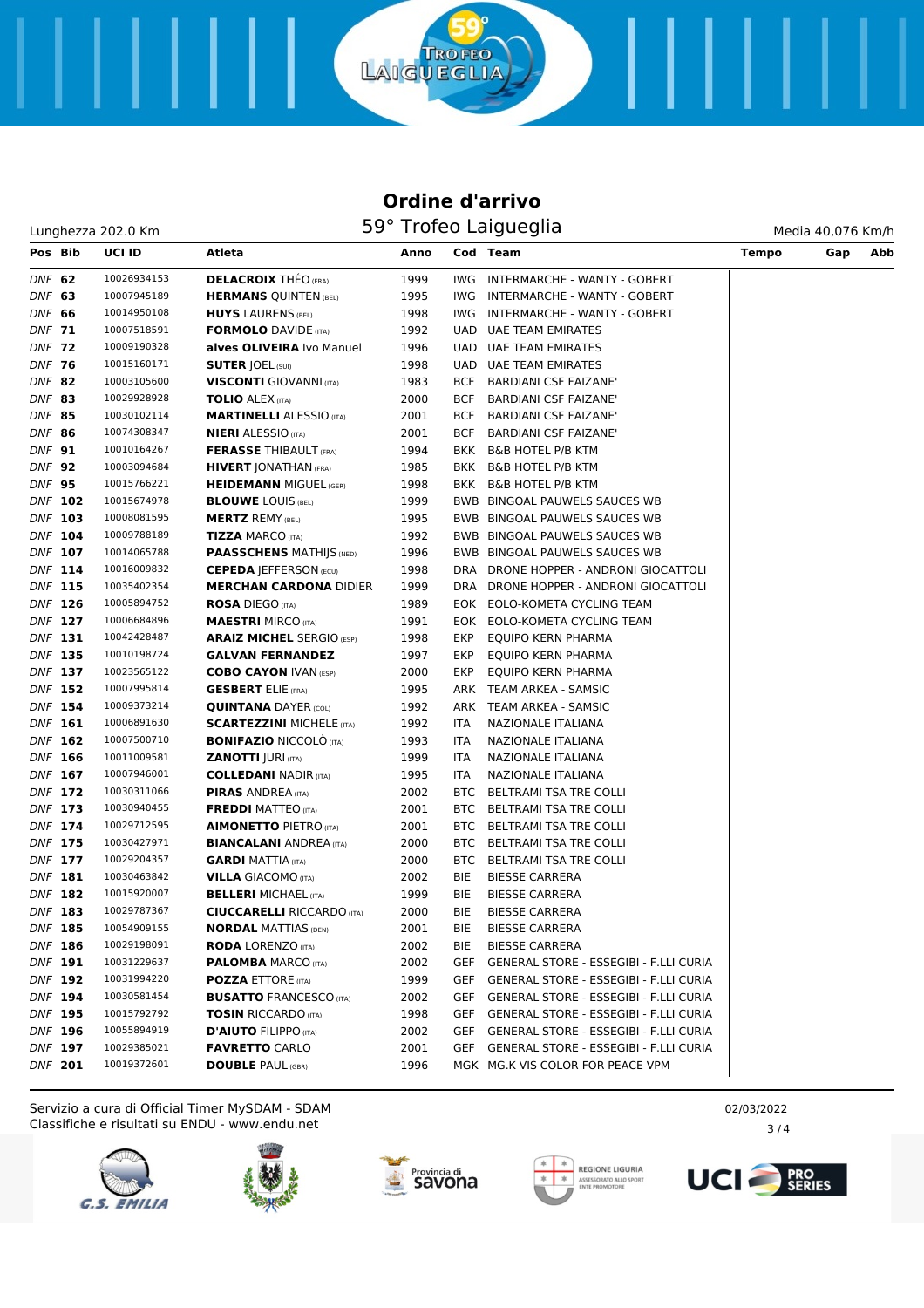ō

**TROFEO** 

LAIGUEGLIA

|               | Pos Bib        | UCI ID      | Atleta                            | Anno |            | Cod Team                                      | <b>Tempo</b> | Gap | Abb |
|---------------|----------------|-------------|-----------------------------------|------|------------|-----------------------------------------------|--------------|-----|-----|
| DNF 62        |                | 10026934153 | <b>DELACROIX THEO (FRA)</b>       | 1999 | IWG        | INTERMARCHE - WANTY - GOBERT                  |              |     |     |
| DNF 63        |                | 10007945189 | <b>HERMANS QUINTEN (BEL)</b>      | 1995 | IWG        | INTERMARCHE - WANTY - GOBERT                  |              |     |     |
| DNF 66        |                | 10014950108 | <b>HUYS LAURENS (BEL)</b>         | 1998 | IWG        | INTERMARCHE - WANTY - GOBERT                  |              |     |     |
| DNF 71        |                | 10007518591 | <b>FORMOLO</b> DAVIDE (ITA)       | 1992 |            | UAD UAE TEAM EMIRATES                         |              |     |     |
| DNF 72        |                | 10009190328 | alves OLIVEIRA Ivo Manuel         | 1996 |            | UAD UAE TEAM EMIRATES                         |              |     |     |
| <b>DNF 76</b> |                | 10015160171 | <b>SUTER JOEL (SUI)</b>           | 1998 |            | UAD UAE TEAM EMIRATES                         |              |     |     |
| DNF 82        |                | 10003105600 | <b>VISCONTI</b> GIOVANNI (ITA)    | 1983 | BCF        | <b>BARDIANI CSF FAIZANE'</b>                  |              |     |     |
| DNF 83        |                | 10029928928 | <b>TOLIO</b> ALEX (ITA)           | 2000 | BCF        | <b>BARDIANI CSF FAIZANE'</b>                  |              |     |     |
| <b>DNF 85</b> |                | 10030102114 | <b>MARTINELLI ALESSIO (ITA)</b>   | 2001 | BCF        | <b>BARDIANI CSF FAIZANE'</b>                  |              |     |     |
| <b>DNF 86</b> |                | 10074308347 | <b>NIERI</b> ALESSIO (ITA)        | 2001 | BCF        | <b>BARDIANI CSF FAIZANE'</b>                  |              |     |     |
| DNF 91        |                | 10010164267 | <b>FERASSE THIBAULT (FRA)</b>     | 1994 |            | BKK B&B HOTEL P/B KTM                         |              |     |     |
| <b>DNF 92</b> |                | 10003094684 | <b>HIVERT JONATHAN (FRA)</b>      | 1985 |            | BKK B&B HOTEL P/B KTM                         |              |     |     |
| <b>DNF 95</b> |                | 10015766221 | <b>HEIDEMANN MIGUEL (GER)</b>     | 1998 | BKK        | <b>B&amp;B HOTEL P/B KTM</b>                  |              |     |     |
|               | DNF 102        | 10015674978 | <b>BLOUWE LOUIS (BEL)</b>         | 1999 |            | BWB BINGOAL PAUWELS SAUCES WB                 |              |     |     |
|               | DNF 103        | 10008081595 | <b>MERTZ REMY (BEL)</b>           | 1995 |            | BWB BINGOAL PAUWELS SAUCES WB                 |              |     |     |
|               | DNF 104        | 10009788189 | <b>TIZZA MARCO (ITA)</b>          | 1992 |            | BWB BINGOAL PAUWELS SAUCES WB                 |              |     |     |
|               | DNF 107        | 10014065788 | <b>PAASSCHENS MATHIJS (NED)</b>   | 1996 |            | BWB BINGOAL PAUWELS SAUCES WB                 |              |     |     |
|               | DNF 114        | 10016009832 | <b>CEPEDA   EFFERSON (ECU)</b>    | 1998 |            | DRA DRONE HOPPER - ANDRONI GIOCATTOLI         |              |     |     |
|               | <b>DNF 115</b> | 10035402354 | <b>MERCHAN CARDONA DIDIER</b>     | 1999 |            | DRA DRONE HOPPER - ANDRONI GIOCATTOLI         |              |     |     |
|               | DNF 126        | 10005894752 | <b>ROSA</b> DIEGO (ITA)           | 1989 |            | EOK EOLO-KOMETA CYCLING TEAM                  |              |     |     |
|               | DNF 127        | 10006684896 | <b>MAESTRI MIRCO (ITA)</b>        | 1991 |            | EOK EOLO-KOMETA CYCLING TEAM                  |              |     |     |
|               | DNF 131        | 10042428487 | <b>ARAIZ MICHEL SERGIO (ESP)</b>  | 1998 | EKP        | EQUIPO KERN PHARMA                            |              |     |     |
|               | DNF 135        | 10010198724 | <b>GALVAN FERNANDEZ</b>           | 1997 | EKP        | EQUIPO KERN PHARMA                            |              |     |     |
|               | DNF 137        | 10023565122 | <b>COBO CAYON IVAN (ESP)</b>      | 2000 | EKP        | EQUIPO KERN PHARMA                            |              |     |     |
|               | DNF 152        | 10007995814 | <b>GESBERT</b> ELIE (FRA)         | 1995 |            | ARK TEAM ARKEA - SAMSIC                       |              |     |     |
|               | DNF 154        | 10009373214 | <b>QUINTANA DAYER (COL)</b>       | 1992 |            | ARK TEAM ARKEA - SAMSIC                       |              |     |     |
|               | DNF 161        | 10006891630 | <b>SCARTEZZINI MICHELE (ITA)</b>  | 1992 | <b>ITA</b> | NAZIONALE ITALIANA                            |              |     |     |
|               | DNF 162        | 10007500710 | <b>BONIFAZIO NICCOLO (ITA)</b>    | 1993 | ITA        | NAZIONALE ITALIANA                            |              |     |     |
|               | DNF 166        | 10011009581 | <b>ZANOTTI JURI (ITA)</b>         | 1999 | ITA        | NAZIONALE ITALIANA                            |              |     |     |
|               | DNF 167        | 10007946001 | <b>COLLEDANI NADIR (ITA)</b>      | 1995 | ITA        | NAZIONALE ITALIANA                            |              |     |     |
|               | DNF 172        | 10030311066 | <b>PIRAS ANDREA (ITA)</b>         | 2002 | BTC.       | BELTRAMI TSA TRE COLLI                        |              |     |     |
|               | DNF 173        | 10030940455 | <b>FREDDI MATTEO</b> (ITA)        | 2001 |            | BTC BELTRAMI TSA TRE COLLI                    |              |     |     |
|               | DNF 174        | 10029712595 | <b>AIMONETTO PIETRO (ITA)</b>     | 2001 | BTC.       | BELTRAMI TSA TRE COLLI                        |              |     |     |
|               | <b>DNF 175</b> | 10030427971 | <b>BIANCALANI ANDREA (ITA)</b>    | 2000 | BTC.       | BELTRAMI TSA TRE COLLI                        |              |     |     |
|               | DNF 177        | 10029204357 | <b>GARDI MATTIA</b> (ITA)         | 2000 |            | BTC BELTRAMI TSA TRE COLLI                    |              |     |     |
|               | DNF 181        | 10030463842 | <b>VILLA GIACOMO (ITA)</b>        | 2002 | BIE        | <b>BIESSE CARRERA</b>                         |              |     |     |
|               | DNF 182        | 10015920007 | <b>BELLERI MICHAEL (ITA)</b>      | 1999 | BIE        | <b>BIESSE CARRERA</b>                         |              |     |     |
|               | DNF 183        | 10029787367 | <b>CIUCCARELLI RICCARDO (ITA)</b> | 2000 | BIE        | <b>BIESSE CARRERA</b>                         |              |     |     |
|               | DNF 185        | 10054909155 | <b>NORDAL MATTIAS (DEN)</b>       | 2001 | BIE        | <b>BIESSE CARRERA</b>                         |              |     |     |
|               | DNF 186        | 10029198091 | <b>RODA LORENZO (ITA)</b>         | 2002 | BIE        | <b>BIESSE CARRERA</b>                         |              |     |     |
|               | <b>DNF 191</b> | 10031229637 | <b>PALOMBA MARCO (ITA)</b>        | 2002 | GEF        | <b>GENERAL STORE - ESSEGIBI - F.LLI CURIA</b> |              |     |     |
|               | DNF 192        | 10031994220 | <b>POZZA ETTORE (ITA)</b>         | 1999 | GEF        | GENERAL STORE - ESSEGIBI - F.LLI CURIA        |              |     |     |
|               | <b>DNF 194</b> | 10030581454 | <b>BUSATTO FRANCESCO (ITA)</b>    | 2002 | GEF        | <b>GENERAL STORE - ESSEGIBI - F.LLI CURIA</b> |              |     |     |
|               | <b>DNF 195</b> | 10015792792 | <b>TOSIN RICCARDO (ITA)</b>       | 1998 |            | GEF GENERAL STORE - ESSEGIBI - F.LLI CURIA    |              |     |     |
|               | DNF 196        | 10055894919 | <b>D'AIUTO FILIPPO (ITA)</b>      | 2002 |            | GEF GENERAL STORE - ESSEGIBI - F.LLI CURIA    |              |     |     |
|               | DNF 197        | 10029385021 | <b>FAVRETTO CARLO</b>             | 2001 |            | GEF GENERAL STORE - ESSEGIBI - F.LLI CURIA    |              |     |     |
|               | DNF 201        | 10019372601 | <b>DOUBLE PAUL (GBR)</b>          | 1996 |            | MGK MG.K VIS COLOR FOR PEACE VPM              |              |     |     |
|               |                |             |                                   |      |            |                                               |              |     |     |

Classifiche e risultati su ENDU - www.endu.net Servizio a cura di Official Timer MySDAM - SDAM 02/03/2022 2022 02/03/2022











 $3/4$